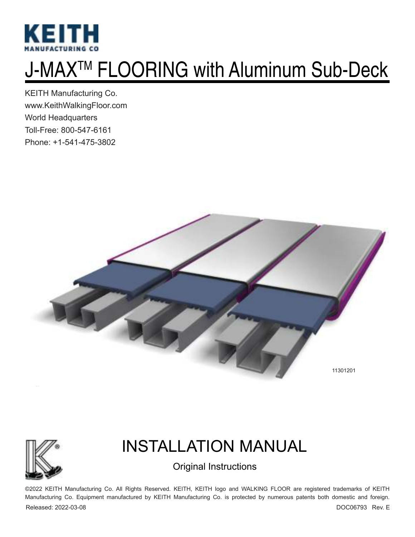

# J-MAXTM FLOORING with Aluminum Sub-Deck

KEITH Manufacturing Co. www.KeithWalkingFloor.com World Headquarters Toll-Free: 800-547-6161 Phone: +1-541-475-3802





## INSTALLATION MANUAL

### Original Instructions

©2022 KEITH Manufacturing Co. All Rights Reserved. KEITH, KEITH logo and WALKING FLOOR are registered trademarks of KEITH Manufacturing Co. Equipment manufactured by KEITH Manufacturing Co. is protected by numerous patents both domestic and foreign. Released: 2022-03-08 DOC06793 Rev. E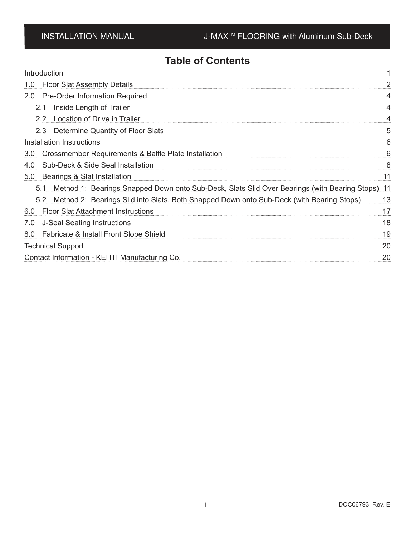### **Table of Contents**

| Introduction                                                                                        |    |
|-----------------------------------------------------------------------------------------------------|----|
| <b>Floor Slat Assembly Details</b><br>1.0                                                           |    |
| <b>Pre-Order Information Required</b><br>2.0 <sub>2</sub>                                           |    |
| 2.1 Inside Length of Trailer                                                                        |    |
| 2.2 Location of Drive in Trailer                                                                    |    |
| 2.3 Determine Quantity of Floor Slats                                                               | 5  |
| Installation Instructions                                                                           | 6  |
| Crossmember Requirements & Baffle Plate Installation<br>3.0                                         | 6  |
| Sub-Deck & Side Seal Installation<br>4.0                                                            | 8  |
| 5.0<br>Bearings & Slat Installation                                                                 |    |
| 5.1 Method 1: Bearings Snapped Down onto Sub-Deck, Slats Slid Over Bearings (with Bearing Stops) 11 |    |
| 5.2 Method 2: Bearings Slid into Slats, Both Snapped Down onto Sub-Deck (with Bearing Stops)        | 13 |
| 6.0 Floor Slat Attachment Instructions                                                              | 17 |
| <b>J-Seal Seating Instructions</b><br>7.0                                                           | 18 |
| Fabricate & Install Front Slope Shield<br>8.0                                                       | 19 |
| <b>Technical Support</b>                                                                            | 20 |
| Contact Information - KEITH Manufacturing Co.                                                       | 20 |
|                                                                                                     |    |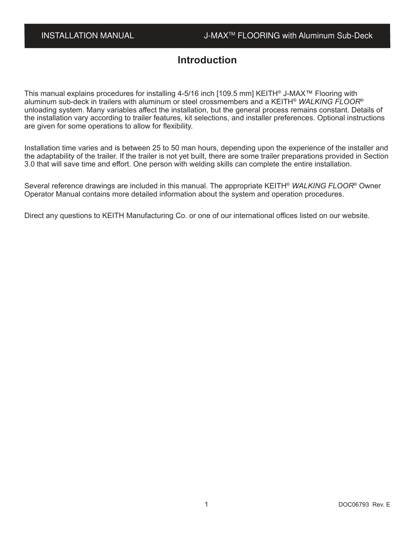### **Introduction**

This manual explains procedures for installing 4-5/16 inch [109.5 mm] KEITH® J-MAX™ Flooring with aluminum sub-deck in trailers with aluminum or steel crossmembers and a KEITH® *WALKING FLOOR*® unloading system. Many variables affect the installation, but the general process remains constant. Details of the installation vary according to trailer features, kit selections, and installer preferences. Optional instructions are given for some operations to allow for flexibility.

Installation time varies and is between 25 to 50 man hours, depending upon the experience of the installer and the adaptability of the trailer. If the trailer is not yet built, there are some trailer preparations provided in Section 3.0 that will save time and effort. One person with welding skills can complete the entire installation.

Several reference drawings are included in this manual. The appropriate KEITH® *WALKING FLOOR*® Owner Operator Manual contains more detailed information about the system and operation procedures.

Direct any questions to KEITH Manufacturing Co. or one of our international offices listed on our website.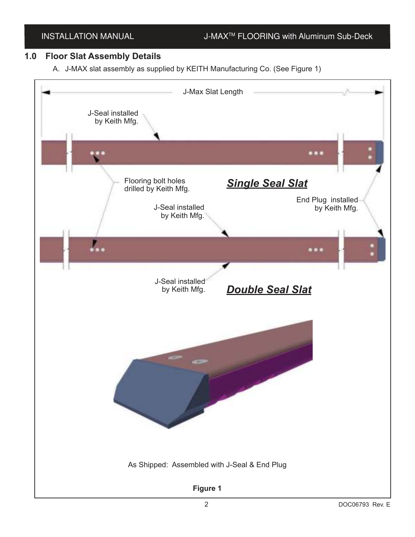### **1.0 Floor Slat Assembly Details**

A. J-MAX slat assembly as supplied by KEITH Manufacturing Co. (See Figure 1)

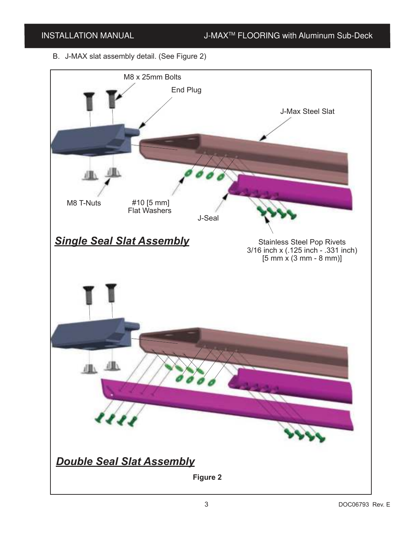B. J-MAX slat assembly detail. (See Figure 2)

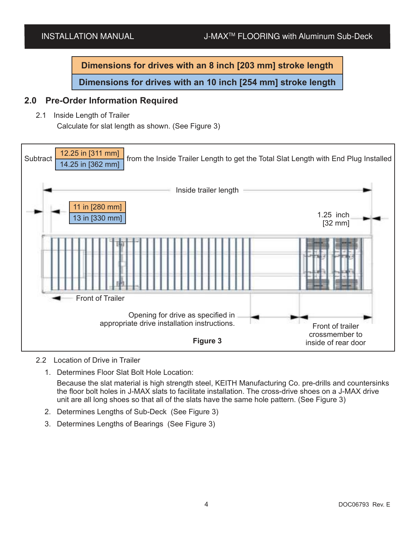**Dimensions for drives with an 8 inch [203 mm] stroke length**

**Dimensions for drives with an 10 inch [254 mm] stroke length**

### **2.0 Pre-Order Information Required**

2.1 Inside Length of Trailer

Calculate for slat length as shown. (See Figure 3)



### 2.2 Location of Drive in Trailer

1. Determines Floor Slat Bolt Hole Location:

Because the slat material is high strength steel, KEITH Manufacturing Co. pre-drills and countersinks the floor bolt holes in J-MAX slats to facilitate installation. The cross-drive shoes on a J-MAX drive unit are all long shoes so that all of the slats have the same hole pattern. (See Figure 3)

- 2. Determines Lengths of Sub-Deck (See Figure 3)
- 3. Determines Lengths of Bearings (See Figure 3)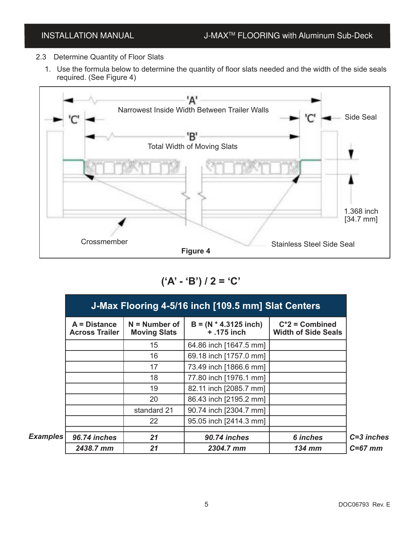- 2.3 Determine Quantity of Floor Slats
	- 1. Use the formula below to determine the quantity of floor slats needed and the width of the side seals required. (See Figure 4)



**('A' - 'B') / 2 = 'C'**

| $A = Distance$<br><b>Across Trailer</b> | $N =$ Number of<br><b>Moving Slats</b> | $B = (N * 4.3125$ inch)<br>$+ .175$ inch | $C^*2$ = Combined<br><b>Width of Side Seals</b> |
|-----------------------------------------|----------------------------------------|------------------------------------------|-------------------------------------------------|
|                                         | 15                                     | 64.86 inch [1647.5 mm]                   |                                                 |
|                                         | 16                                     | 69.18 inch [1757.0 mm]                   |                                                 |
|                                         | 17                                     | 73.49 inch [1866.6 mm]                   |                                                 |
|                                         | 18                                     | 77.80 inch [1976.1 mm]                   |                                                 |
|                                         | 19                                     | 82.11 inch [2085.7 mm]                   |                                                 |
|                                         | 20                                     | 86.43 inch [2195.2 mm]                   |                                                 |
|                                         | standard 21                            | 90.74 inch [2304.7 mm]                   |                                                 |
|                                         | 22                                     | 95.05 inch [2414.3 mm]                   |                                                 |
| Examples<br>96.74 inches                | 21                                     | 90.74 inches                             | 6 inches                                        |
| 2438.7 mm                               | 21                                     | 2304.7 mm                                | <b>134 mm</b>                                   |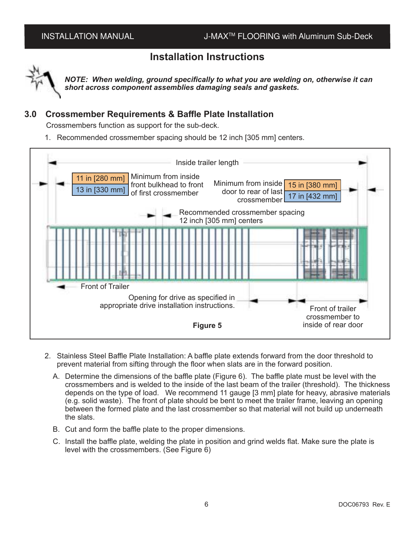### **Installation Instructions**



*NOTE: When welding, ground specifically to what you are welding on, otherwise it can short across component assemblies damaging seals and gaskets.*

### **3.0 Crossmember Requirements & Baffle Plate Installation**

Crossmembers function as support for the sub-deck.

1. Recommended crossmember spacing should be 12 inch [305 mm] centers.



- 2. Stainless Steel Baffle Plate Installation: A baffle plate extends forward from the door threshold to prevent material from sifting through the floor when slats are in the forward position.
	- A. Determine the dimensions of the baffle plate (Figure 6). The baffle plate must be level with the crossmembers and is welded to the inside of the last beam of the trailer (threshold). The thickness depends on the type of load. We recommend 11 gauge [3 mm] plate for heavy, abrasive materials (e.g. solid waste). The front of plate should be bent to meet the trailer frame, leaving an opening between the formed plate and the last crossmember so that material will not build up underneath the slats.
	- B. Cut and form the baffle plate to the proper dimensions.
	- C. Install the baffle plate, welding the plate in position and grind welds flat. Make sure the plate is level with the crossmembers. (See Figure 6)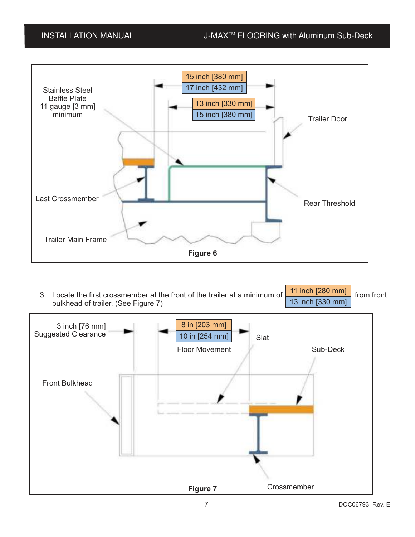

3. Locate the first crossmember at the front of the trailer at a minimum of  $\Box$  Figure 1200 minum from front bulkhead of trailer. (See Figure 7) 11 inch [280 mm] 13 inch [330 mm]

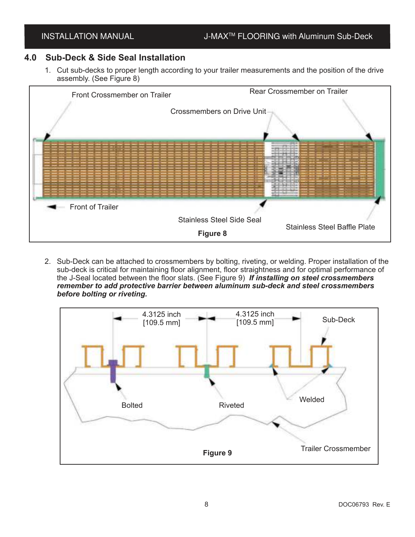### **4.0 Sub-Deck & Side Seal Installation**

1. Cut sub-decks to proper length according to your trailer measurements and the position of the drive assembly. (See Figure 8)



2. Sub-Deck can be attached to crossmembers by bolting, riveting, or welding. Proper installation of the sub-deck is critical for maintaining floor alignment, floor straightness and for optimal performance of the J-Seal located between the floor slats. (See Figure 9) *If installing on steel crossmembers remember to add protective barrier between aluminum sub-deck and steel crossmembers before bolting or riveting.*

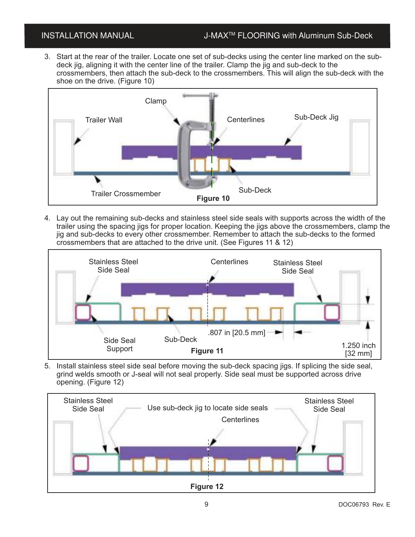3. Start at the rear of the trailer. Locate one set of sub-decks using the center line marked on the subdeck jig, aligning it with the center line of the trailer. Clamp the jig and sub-deck to the crossmembers, then attach the sub-deck to the crossmembers. This will align the sub-deck with the shoe on the drive. (Figure 10)



4. Lay out the remaining sub-decks and stainless steel side seals with supports across the width of the trailer using the spacing jigs for proper location. Keeping the jigs above the crossmembers, clamp the jig and sub-decks to every other crossmember. Remember to attach the sub-decks to the formed crossmembers that are attached to the drive unit. (See Figures 11 & 12)



5. Install stainless steel side seal before moving the sub-deck spacing jigs. If splicing the side seal, grind welds smooth or J-seal will not seal properly. Side seal must be supported across drive opening. (Figure 12)

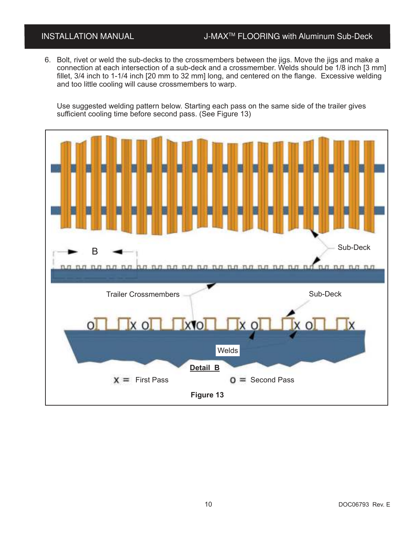### INSTALLATION MANUAL J-MAX<sup>™</sup> FLOORING with Aluminum Sub-Deck

6. Bolt, rivet or weld the sub-decks to the crossmembers between the jigs. Move the jigs and make a connection at each intersection of a sub-deck and a crossmember. Welds should be 1/8 inch [3 mm] fillet, 3/4 inch to 1-1/4 inch [20 mm to 32 mm] long, and centered on the flange. Excessive welding and too little cooling will cause crossmembers to warp.

Use suggested welding pattern below. Starting each pass on the same side of the trailer gives sufficient cooling time before second pass. (See Figure 13)

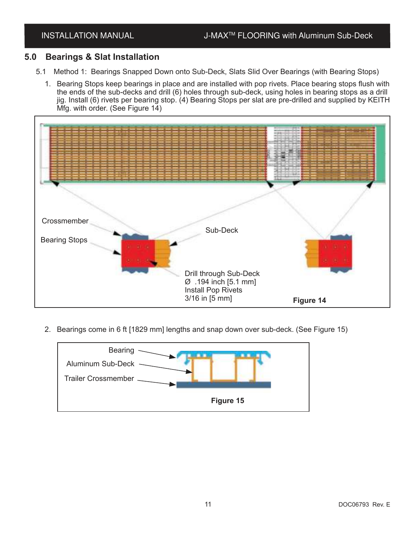### **5.0 Bearings & Slat Installation**

- 5.1 Method 1: Bearings Snapped Down onto Sub-Deck, Slats Slid Over Bearings (with Bearing Stops)
	- 1. Bearing Stops keep bearings in place and are installed with pop rivets. Place bearing stops flush with the ends of the sub-decks and drill (6) holes through sub-deck, using holes in bearing stops as a drill jig. Install (6) rivets per bearing stop. (4) Bearing Stops per slat are pre-drilled and supplied by KEITH Mfg. with order. (See Figure 14)



2. Bearings come in 6 ft [1829 mm] lengths and snap down over sub-deck. (See Figure 15)

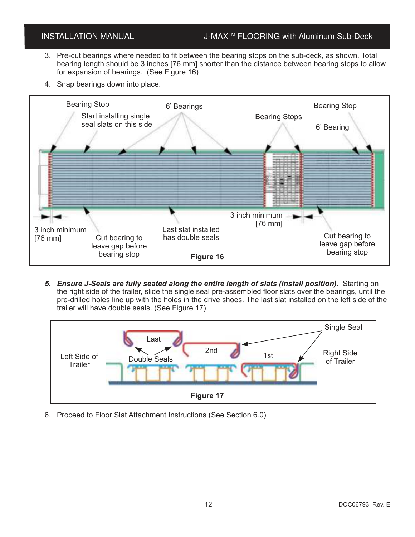### INSTALLATION MANUAL J-MAX<sup>™</sup> FLOORING with Aluminum Sub-Deck

- 3. Pre-cut bearings where needed to fit between the bearing stops on the sub-deck, as shown. Total bearing length should be 3 inches [76 mm] shorter than the distance between bearing stops to allow for expansion of bearings. (See Figure 16)
- 4. Snap bearings down into place.



*5. Ensure J-Seals are fully seated along the entire length of slats (install position).* Starting on the right side of the trailer, slide the single seal pre-assembled floor slats over the bearings, until the pre-drilled holes line up with the holes in the drive shoes. The last slat installed on the left side of the trailer will have double seals. (See Figure 17)



6. Proceed to Floor Slat Attachment Instructions (See Section 6.0)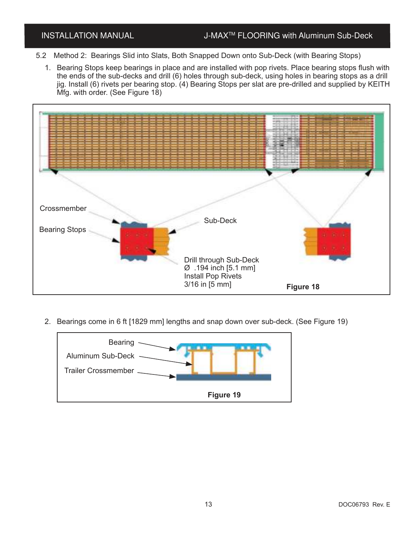- 5.2 Method 2: Bearings Slid into Slats, Both Snapped Down onto Sub-Deck (with Bearing Stops)
	- 1. Bearing Stops keep bearings in place and are installed with pop rivets. Place bearing stops flush with the ends of the sub-decks and drill (6) holes through sub-deck, using holes in bearing stops as a drill jig. Install (6) rivets per bearing stop. (4) Bearing Stops per slat are pre-drilled and supplied by KEITH Mfg. with order. (See Figure 18)



2. Bearings come in 6 ft [1829 mm] lengths and snap down over sub-deck. (See Figure 19)

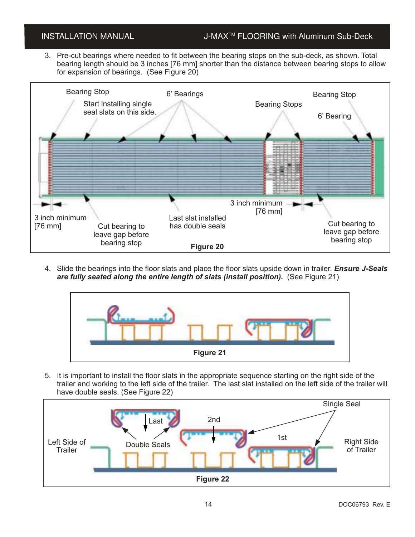### INSTALLATION MANUAL J-MAX<sup>™</sup> FLOORING with Aluminum Sub-Deck

3. Pre-cut bearings where needed to fit between the bearing stops on the sub-deck, as shown. Total bearing length should be 3 inches [76 mm] shorter than the distance between bearing stops to allow for expansion of bearings. (See Figure 20)



4. Slide the bearings into the floor slats and place the floor slats upside down in trailer. *Ensure J-Seals are fully seated along the entire length of slats (install position).* (See Figure 21)



5. It is important to install the floor slats in the appropriate sequence starting on the right side of the trailer and working to the left side of the trailer. The last slat installed on the left side of the trailer will have double seals. (See Figure 22)

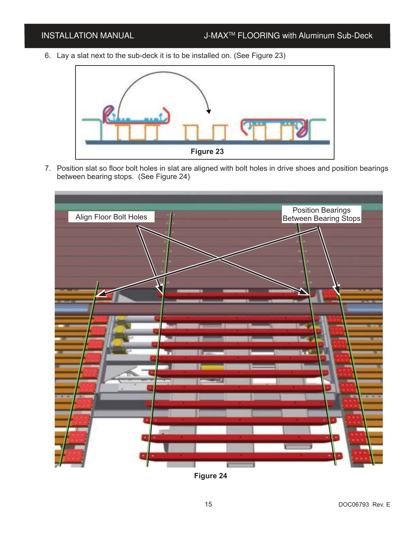6. Lay a slat next to the sub-deck it is to be installed on. (See Figure 23)



7. Position slat so floor bolt holes in slat are aligned with bolt holes in drive shoes and position bearings between bearing stops. (See Figure 24)



**Figure 24**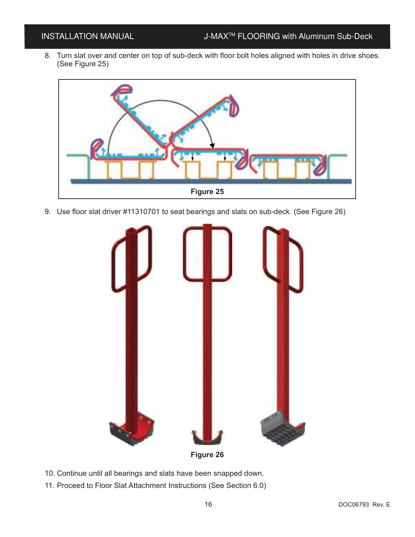8. Turn slat over and center on top of sub-deck with floor bolt holes aligned with holes in drive shoes. (See Figure 25)



9. Use floor slat driver #11310701 to seat bearings and slats on sub-deck. (See Figure 26)



- 10. Continue until all bearings and slats have been snapped down.
- 11. Proceed to Floor Slat Attachment Instructions (See Section 6.0)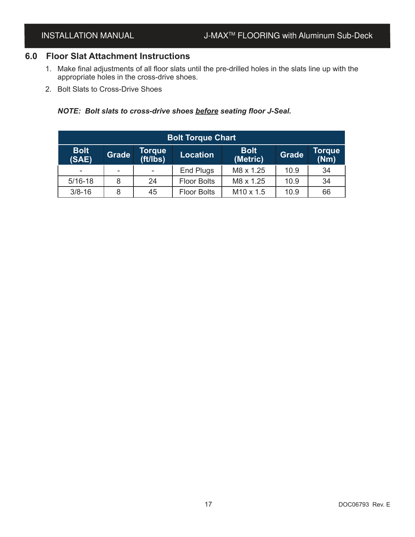### **6.0 Floor Slat Attachment Instructions**

- 1. Make final adjustments of all floor slats until the pre-drilled holes in the slats line up with the appropriate holes in the cross-drive shoes.
- 2. Bolt Slats to Cross-Drive Shoes

### *NOTE: Bolt slats to cross-drive shoes before seating floor J-Seal.*

| <b>Bolt Torque Chart</b> |              |                    |                    |                         |              |                |  |  |  |
|--------------------------|--------------|--------------------|--------------------|-------------------------|--------------|----------------|--|--|--|
| <b>Bolt</b><br>(SAE)     | <b>Grade</b> | Torque<br>(ft/lbs) | <b>Location</b>    | <b>Bolt</b><br>(Metric) | <b>Grade</b> | Torque<br>(Nm) |  |  |  |
| $\overline{\phantom{a}}$ |              |                    | End Plugs          | M8 x 1.25               | 10.9         | 34             |  |  |  |
| $5/16 - 18$              | 8            | 24                 | <b>Floor Bolts</b> | M8 x 1.25               | 10.9         | 34             |  |  |  |
| $3/8 - 16$               | 8            | 45                 | <b>Floor Bolts</b> | M <sub>10</sub> x 1.5   | 10.9         | 66             |  |  |  |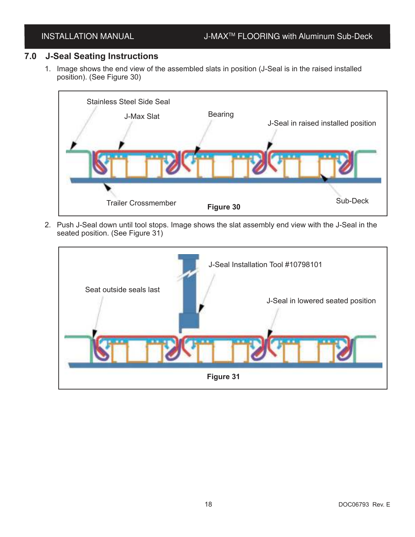### **7.0 J-Seal Seating Instructions**

1. Image shows the end view of the assembled slats in position (J-Seal is in the raised installed position). (See Figure 30)



2. Push J-Seal down until tool stops. Image shows the slat assembly end view with the J-Seal in the seated position. (See Figure 31)

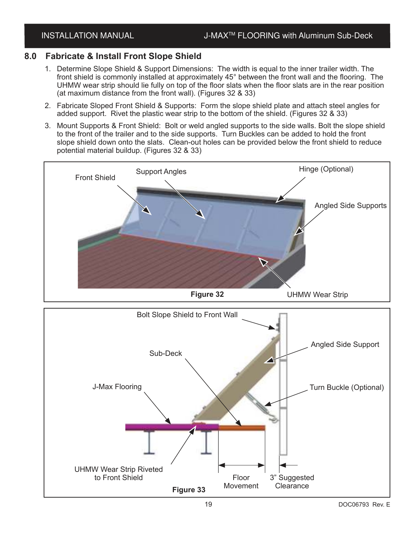### **8.0 Fabricate & Install Front Slope Shield**

- 1. Determine Slope Shield & Support Dimensions: The width is equal to the inner trailer width. The front shield is commonly installed at approximately 45° between the front wall and the flooring. The UHMW wear strip should lie fully on top of the floor slats when the floor slats are in the rear position (at maximum distance from the front wall). (Figures 32 & 33)
- 2. Fabricate Sloped Front Shield & Supports: Form the slope shield plate and attach steel angles for added support. Rivet the plastic wear strip to the bottom of the shield. (Figures 32 & 33)
- 3. Mount Supports & Front Shield: Bolt or weld angled supports to the side walls. Bolt the slope shield to the front of the trailer and to the side supports. Turn Buckles can be added to hold the front slope shield down onto the slats. Clean-out holes can be provided below the front shield to reduce potential material buildup. (Figures 32 & 33)